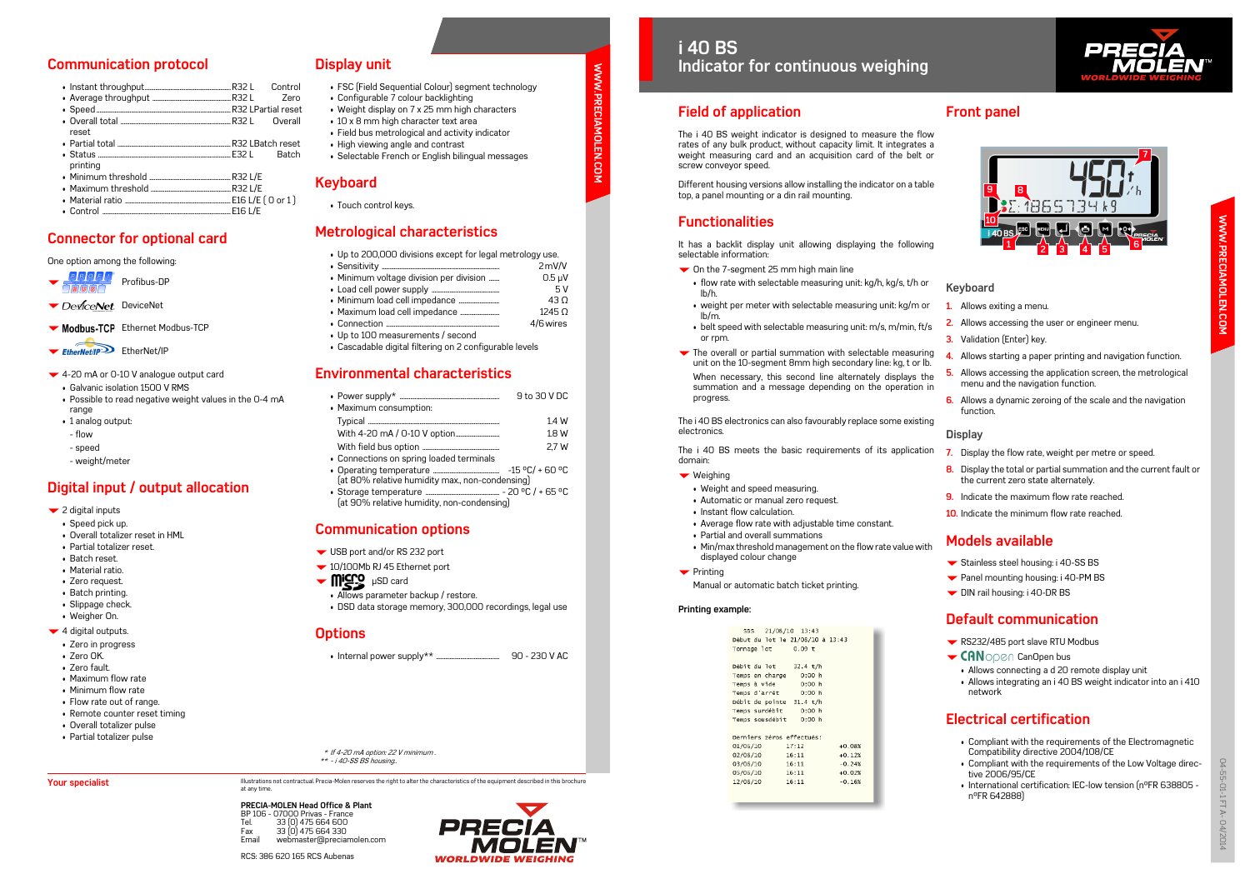**PRECIA-MOLEN Head Office & Plant** BP 106 - 07000 Privas - France Tel. 33 (0) 475 664 600 Fax 33 (0) 475 664 330<br>Fmail webmaster@nrecia webmaster@preciamolen.com

RCS: 386 620 165 RCS Aubenas



**WWW.PRECIAMOLEN.COM**

Ĕ

**LEN.COM** 

**MWW.PRECIA** 

### **Field of application**

The i 40 BS weight indicator is designed to measure the flow rates of any bulk product, without capacity limit. It integrates a weight measuring card and an acquisition card of the belt or screw conveyor speed.

Different housing versions allow installing the indicator on a table top, a panel mounting or a din rail mounting.

## **Functionalities**

It has a backlit display unit allowing displaying the following selectable information:

- **▼** On the 7-segment 25 mm high main line
- flow rate with selectable measuring unit: kg/h, kg/s, t/h or lb/h.
- weight per meter with selectable measuring unit: kg/m or lb/m.
- belt speed with selectable measuring unit: m/s, m/min, ft/s or rpm.
- $\blacktriangleright$  The overall or partial summation with selectable measuring unit on the 10-segment 8mm high secondary line: kg, t or lb. When necessary, this second line alternately displays the summation and a message depending on the operation in progress. **4.** Allows starting a paper printing and navigation function. **5.** Allows accessing the application screen, the metrological menu and the navigation function.

- Stainless steel housing: i 40-SS BS
- ▼ Panel mounting housing: i 40-PM BS
- DIN rail housing: i 40-DR BS

The i 40 BS electronics can also favourably replace some existing electronics.

- RS232/485 port slave RTU Modbus
- $\blacktriangleright$  CANOPEN CanOpen bus
	- Allows connecting a d 20 remote display unit
	- Allows integrating an i 40 BS weight indicator into an i 410 network

The i 40 BS meets the basic requirements of its application domain:

- ▼ Weighing
- Weight and speed measuring.
- Automatic or manual zero request.
- Instant flow calculation.
- Average flow rate with adjustable time constant.
- Partial and overall summations
- Min/max threshold management on the flow rate value with displayed colour change
- $\blacktriangleright$  Printing
- Partial total ...........................................................................R32 LBatch reset • Status
- printing
- Minimum threshold ......................................................R32 L/E
- Maximum threshold .....................................................R32 L/E
- Material ratio ......................................................................E16 L/E ( 0 or 1 ) • Control

Manual or automatic batch ticket printing.

#### **Printing example:**

| SBS 21/08/10 13:43               |          |          |
|----------------------------------|----------|----------|
| 0ébut du lot le 21/08/10 à 13:43 |          |          |
| Fonnage lot 0.09 t               |          |          |
|                                  |          |          |
| >ébit du lot                     | 32.4 t/h |          |
| Femps en charge - 0:00 h         |          |          |
| Temps à <b>vi</b> de             | 0:00 h   |          |
| Temps d'arrêt     0:00 h         |          |          |
| oébit de pointe 31.4 t/h         |          |          |
| Temps surdébit                   | 0:00 h   |          |
| Temps sousdébit 0:00 h           |          |          |
|                                  |          |          |
| Derniers zéros effectués:        |          |          |
| 01/06/10 17:12                   |          | $+0.08%$ |
| 16:11 16:11                      |          | $+0.12%$ |
| 16:11 16:11                      |          | $-0.24%$ |
| 05/06/10 16:11                   |          | $+0.02%$ |
| L2/06/10                         | 16:11    | $-0.16%$ |
|                                  |          |          |



# **Front panel**

### **Keyboard**

- **1.** Allows exiting a menu.
- **2.** Allows accessing the user or engineer menu.
- **3.** Validation (Enter) key.
- **6.** Allows a dynamic zeroing of the scale and the navigation function.

### **Display**

- Modbus-TCP Ethernet Modbus-TCP
- EtherNet/IP<sup>3</sup> EtherNet/IP
- 4-20 mA or 0-10 V analogue output card
	- Galvanic isolation 1500 V RMS
	- Possible to read negative weight values in the 0-4 mA range
	- 1 analog output:
	- flow
	- speed
	- weight/meter
- **7.** Display the flow rate, weight per metre or speed.
- **8.** Display the total or partial summation and the current fault or the current zero state alternately.
- **9.** Indicate the maximum flow rate reached.
- **10.** Indicate the minimum flow rate reached.

# **Models available**

## **Default communication**

## **Electrical certification**

- Compliant with the requirements of the Electromagnetic Compatibility directive 2004/108/CE
- Compliant with the requirements of the Low Voltage directive 2006/95/CE
- International certification: IEC-low tension (n°FR 638805 n°FR 642888)



### **Communication protocol**

| reset |           |
|-------|-----------|
| .     | --------- |

- USB port and/or RS 232 port
- 10/100Mb RJ 45 Ethernet port
- $\blacktriangledown$  **Micro**  $\mu$ SD card
	- Allows parameter backup / restore.
	- DSD data storage memory, 300,000 recordings, legal use

## **Connector for optional card**

#### One option among the following:

P**ROFIL**<br>Profibus-DP

DeviceNet. DeviceNet

## **Digital input / output allocation**

- 2 digital inputs
- Speed pick up.
- Overall totalizer reset in HML
- Partial totalizer reset.
- Batch reset.
- Material ratio.
- Zero request.
- Batch printing.
- Slippage check.
- Weigher On.
- $\blacktriangleright$  4 digital outputs.
	- Zero in progress
	- Zero OK.

**Your specialist** 

- Zero fault.
- Maximum flow rate
- Minimum flow rate
- Flow rate out of range.
- Remote counter reset timing
- Overall totalizer pulse
- Partial totalizer pulse

### **Display unit**

- FSC (Field Sequential Colour) segment technology
- Configurable 7 colour backlighting
- Weight display on 7 x 25 mm high characters
- 10 x 8 mm high character text area
- Field bus metrological and activity indicator
- High viewing angle and contrast
- Selectable French or English bilingual messages

### **Keyboard**

• Touch control keys.

# **Metrological characteristics**

| • Up to 200,000 divisions except for legal metrology use. |             |  |
|-----------------------------------------------------------|-------------|--|
|                                                           | 2mV/V       |  |
| • Minimum voltage division per division                   | $0.5 \mu V$ |  |
|                                                           | 5V          |  |
|                                                           | 43 O        |  |
|                                                           | 12450       |  |

- Connection ........................................................................... 4/6 wires
- Up to 100 measurements / second
- Cascadable digital filtering on 2 configurable levels

## **Environmental characteristics**

|                                                 | 9 to 30 V DC |  |
|-------------------------------------------------|--------------|--|
| • Maximum consumption:                          |              |  |
|                                                 | 1.4 W        |  |
|                                                 | 1.8W         |  |
|                                                 | 2.7 W        |  |
| • Connections on spring loaded terminals        |              |  |
| (at 80% relative humidity max., non-condensing) |              |  |

• Storage temperature ................................................. - 20 °C / + 65 °C (at 90% relative humidity, non-condensing)

## **Communication options**

### **Options**

• Internal power supply\*\* .......................................... 90 - 230 V AC

\* If 4-20 mA option: 22 V minimum . \*\* - i 40-SS BS housing..

Illustrations not contractual. Precia-Molen reserves the right to alter the characteristics of the equipment described in this brochure<br>at any time

# **i 40 BS Indicator for continuous weighing**